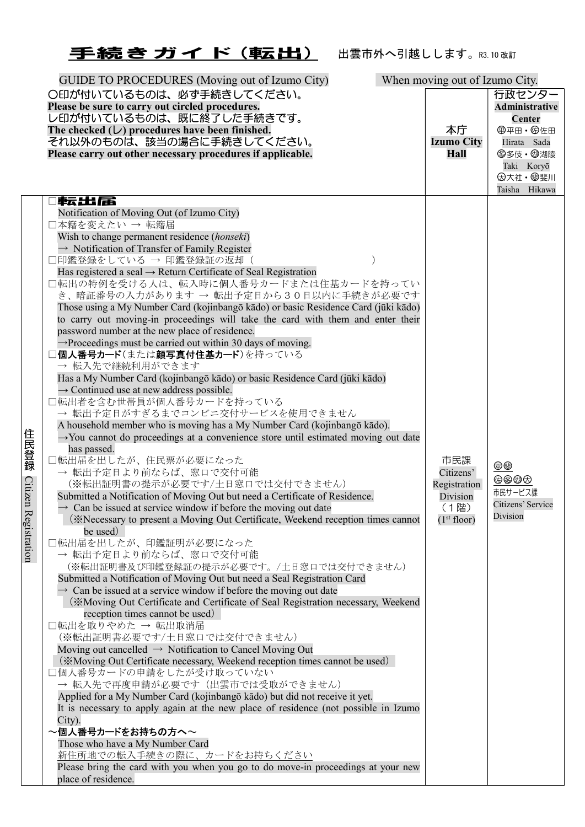## 王続きガイド(転出) 出雲市外へ引越しします。R3.10改訂

|                      | GUIDE TO PROCEDURES (Moving out of Izumo City)                                                                                                                 | When moving out of Izumo City.  |                       |
|----------------------|----------------------------------------------------------------------------------------------------------------------------------------------------------------|---------------------------------|-----------------------|
|                      | ○印が付いているものは、必ず手続きしてください。                                                                                                                                       |                                 | 行政センター                |
|                      | Please be sure to carry out circled procedures.                                                                                                                |                                 | <b>Administrative</b> |
|                      | レ印が付いているものは、既に終了した手続きです。<br>The checked $(\cup)$ procedures have been finished.                                                                                | 本庁                              | Center                |
|                      | それ以外のものは、該当の場合に手続きしてください。                                                                                                                                      | <b>Izumo City</b>               | Hirata Sada           |
|                      | Please carry out other necessary procedures if applicable.                                                                                                     | <b>Hall</b>                     | 8多伎· 御湖陵              |
|                      |                                                                                                                                                                |                                 | Taki Koryō            |
|                      |                                                                                                                                                                |                                 | <b>因大社· 粵斐川</b>       |
|                      |                                                                                                                                                                |                                 | Taisha Hikawa         |
|                      | □転出届<br>Notification of Moving Out (of Izumo City)                                                                                                             |                                 |                       |
|                      | □本籍を変えたい → 転籍届                                                                                                                                                 |                                 |                       |
|                      | Wish to change permanent residence (honseki)                                                                                                                   |                                 |                       |
|                      | $\rightarrow$ Notification of Transfer of Family Register                                                                                                      |                                 |                       |
|                      | □印鑑登録をしている → 印鑑登録証の返却(                                                                                                                                         |                                 |                       |
|                      | Has registered a seal $\rightarrow$ Return Certificate of Seal Registration<br>□転出の特例を受ける人は、転入時に個人番号カードまたは住基カードを持ってい                                           |                                 |                       |
|                      | き、暗証番号の入力があります → 転出予定日から30日以内に手続きが必要です                                                                                                                         |                                 |                       |
|                      | Those using a My Number Card (kojinbangō kādo) or basic Residence Card (jūki kādo)                                                                             |                                 |                       |
|                      | to carry out moving-in proceedings will take the card with them and enter their                                                                                |                                 |                       |
|                      | password number at the new place of residence.                                                                                                                 |                                 |                       |
|                      | $\rightarrow$ Proceedings must be carried out within 30 days of moving.                                                                                        |                                 |                       |
|                      | □個人番号カード(または顔写真付住基カード)を持っている<br>→ 転入先で継続利用ができます                                                                                                                |                                 |                       |
|                      | Has a My Number Card (kojinbangō kādo) or basic Residence Card (jūki kādo)                                                                                     |                                 |                       |
|                      | $\rightarrow$ Continued use at new address possible.                                                                                                           |                                 |                       |
|                      | □転出者を含む世帯員が個人番号カードを持っている                                                                                                                                       |                                 |                       |
|                      | → 転出予定日がすぎるまでコンビニ交付サービスを使用できません                                                                                                                                |                                 |                       |
|                      | A household member who is moving has a My Number Card (kojinbangō kādo).                                                                                       |                                 |                       |
|                      | $\rightarrow$ You cannot do proceedings at a convenience store until estimated moving out date<br>has passed.                                                  |                                 |                       |
| 住民登録                 | □転出届を出したが、住民票が必要になった                                                                                                                                           | 市民課                             |                       |
|                      | → 転出予定日より前ならば、窓口で交付可能                                                                                                                                          | Citizens'                       | $\oplus$              |
|                      | (※転出証明書の提示が必要です/土日窓口では交付できません)                                                                                                                                 | Registration                    | 体多都负<br>市民サービス課       |
|                      | Submitted a Notification of Moving Out but need a Certificate of Residence.                                                                                    | Division                        | Citizens' Service     |
| Citizen Registration | $\rightarrow$ Can be issued at service window if before the moving out date<br>(*Necessary to present a Moving Out Certificate, Weekend reception times cannot | (1階)<br>(1 <sup>st</sup> floor) | Division              |
|                      | be used)                                                                                                                                                       |                                 |                       |
|                      | 口転出届を出したが、印鑑証明が必要になった                                                                                                                                          |                                 |                       |
|                      | → 転出予定日より前ならば、窓口で交付可能                                                                                                                                          |                                 |                       |
|                      | (※転出証明書及び印鑑登録証の提示が必要です。/土日窓口では交付できません)                                                                                                                         |                                 |                       |
|                      | Submitted a Notification of Moving Out but need a Seal Registration Card<br>$\rightarrow$ Can be issued at a service window if before the moving out date      |                                 |                       |
|                      | (*Moving Out Certificate and Certificate of Seal Registration necessary, Weekend                                                                               |                                 |                       |
|                      | reception times cannot be used)                                                                                                                                |                                 |                       |
|                      | □転出を取りやめた → 転出取消届                                                                                                                                              |                                 |                       |
|                      | (※転出証明書必要です/土日窓口では交付できません)                                                                                                                                     |                                 |                       |
|                      | Moving out cancelled $\rightarrow$ Notification to Cancel Moving Out                                                                                           |                                 |                       |
|                      | (*Moving Out Certificate necessary, Weekend reception times cannot be used)<br>□個人番号カードの申請をしたが受け取っていない                                                         |                                 |                       |
|                      | → 転入先で再度申請が必要です (出雲市では受取ができません)                                                                                                                                |                                 |                       |
|                      | Applied for a My Number Card (kojinbangō kādo) but did not receive it yet.                                                                                     |                                 |                       |
|                      | It is necessary to apply again at the new place of residence (not possible in Izumo                                                                            |                                 |                       |
|                      | City).                                                                                                                                                         |                                 |                       |
|                      | $\sim$ 個人番号カードをお持ちの方へ $\sim$<br>Those who have a My Number Card                                                                                                |                                 |                       |
|                      | 新住所地での転入手続きの際に、カードをお持ちください                                                                                                                                     |                                 |                       |
|                      | Please bring the card with you when you go to do move-in proceedings at your new                                                                               |                                 |                       |
|                      | place of residence.                                                                                                                                            |                                 |                       |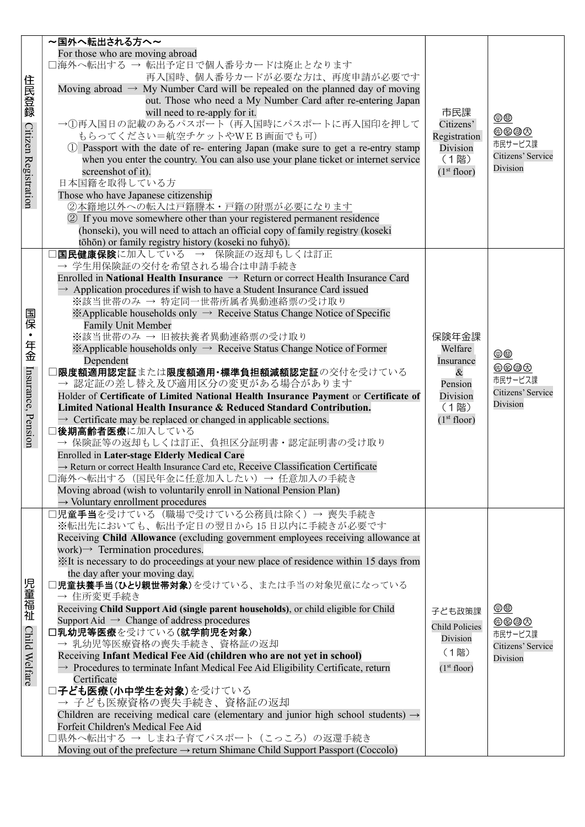|                      | ~国外へ転出される方へ~                                                                                                                       |                         |                            |
|----------------------|------------------------------------------------------------------------------------------------------------------------------------|-------------------------|----------------------------|
|                      | For those who are moving abroad                                                                                                    |                         |                            |
|                      | □海外へ転出する → 転出予定日で個人番号カードは廃止となります                                                                                                   |                         |                            |
|                      | 再入国時、個人番号カードが必要な方は、再度申請が必要です                                                                                                       |                         |                            |
| 住民登録                 | Moving abroad $\rightarrow$ My Number Card will be repealed on the planned day of moving                                           |                         |                            |
|                      | out. Those who need a My Number Card after re-entering Japan                                                                       |                         |                            |
|                      | will need to re-apply for it.                                                                                                      | 市民課                     | $\circledcirc$             |
|                      | →①再入国日の記載のあるパスポート(再入国時にパスポートに再入国印を押して                                                                                              | Citizens'               | <b>0000</b>                |
|                      | もらってください=航空チケットやWEB画面でも可)                                                                                                          | Registration            | 市民サービス課                    |
|                      | 1) Passport with the date of re- entering Japan (make sure to get a re-entry stamp                                                 | Division                | Citizens' Service          |
|                      | when you enter the country. You can also use your plane ticket or internet service<br>screenshot of it).                           | (1階)                    | Division                   |
| Citizen Registration | 日本国籍を取得している方                                                                                                                       | (1 <sup>st</sup> floor) |                            |
|                      | Those who have Japanese citizenship                                                                                                |                         |                            |
|                      | ②本籍地以外への転入は戸籍謄本·戸籍の附票が必要になります                                                                                                      |                         |                            |
|                      | 2 If you move somewhere other than your registered permanent residence                                                             |                         |                            |
|                      | (honseki), you will need to attach an official copy of family registry (koseki                                                     |                         |                            |
|                      | tōhōn) or family registry history (koseki no fuhyō).                                                                               |                         |                            |
|                      | <b>国民健康保険</b> に加入している → 保険証の返却もしくは訂正                                                                                               |                         |                            |
|                      | → 学生用保険証の交付を希望される場合は申請手続き                                                                                                          |                         |                            |
|                      | Enrolled in National Health Insurance $\rightarrow$ Return or correct Health Insurance Card                                        |                         |                            |
|                      | $\rightarrow$ Application procedures if wish to have a Student Insurance Card issued                                               |                         |                            |
|                      | ※該当世帯のみ → 特定同一世帯所属者異動連絡票の受け取り                                                                                                      |                         |                            |
| 国保・年金                | $\mathbb{X}$ Applicable households only $\rightarrow$ Receive Status Change Notice of Specific                                     |                         |                            |
|                      | <b>Family Unit Member</b>                                                                                                          |                         |                            |
|                      | ※該当世帯のみ → 旧被扶養者異動連絡票の受け取り                                                                                                          | 保険年金課                   |                            |
|                      | $\mathbb{X}$ Applicable households only $\rightarrow$ Receive Status Change Notice of Former<br>Dependent                          | Welfare<br>Insurance    | $\underline{\oplus\oplus}$ |
|                      | 限度額適用認定証または限度額適用·標準負担額減額認定証の交付を受けている                                                                                               | $\&$                    | 伯多曲负                       |
|                      | → 認定証の差し替え及び適用区分の変更がある場合があります                                                                                                      | Pension                 | 市民サービス課                    |
| Insurance, Pension   | Holder of Certificate of Limited National Health Insurance Payment or Certificate of                                               | Division                | Citizens' Service          |
|                      | Limited National Health Insurance & Reduced Standard Contribution.                                                                 | (1階)                    | Division                   |
|                      | $\rightarrow$ Certificate may be replaced or changed in applicable sections.                                                       | (1 <sup>st</sup> floor) |                            |
|                      | 後期高齢者医療に加入している                                                                                                                     |                         |                            |
|                      | → 保険証等の返却もしくは訂正、負担区分証明書·認定証明書の受け取り                                                                                                 |                         |                            |
|                      | Enrolled in Later-stage Elderly Medical Care                                                                                       |                         |                            |
|                      | $\rightarrow$ Return or correct Health Insurance Card etc, Receive Classification Certificate                                      |                         |                            |
|                      | コ海外へ転出する(国民年金に任意加入したい)→ 任意加入の手続き                                                                                                   |                         |                            |
|                      | Moving abroad (wish to voluntarily enroll in National Pension Plan)<br>$\rightarrow$ Voluntary enrollment procedures               |                         |                            |
|                      | コ <b>児童手当</b> を受けている(職場で受けている公務員は除く)→ 喪失手続き                                                                                        |                         |                            |
|                      | ※転出先においても、転出予定日の翌日から15日以内に手続きが必要です                                                                                                 |                         |                            |
|                      | Receiving Child Allowance (excluding government employees receiving allowance at                                                   |                         |                            |
|                      | work) $\rightarrow$ Termination procedures.                                                                                        |                         |                            |
|                      | XIt is necessary to do proceedings at your new place of residence within 15 days from                                              |                         |                            |
|                      | the day after your moving day.                                                                                                     |                         |                            |
| 児童福祉                 | <b>児童扶養手当(ひとり親世帯対象)</b> を受けている、または手当の対象児童になっている                                                                                    |                         |                            |
|                      | → 住所変更手続き                                                                                                                          |                         |                            |
|                      | Receiving Child Support Aid (single parent households), or child eligible for Child                                                | 子ども政策課                  | $\overline{\oplus}$        |
|                      | Support Aid $\rightarrow$ Change of address procedures                                                                             | <b>Child Policies</b>   | 体多都负                       |
|                      | □乳幼児等医療を受けている(就学前児を対象)<br>→ 乳幼児等医療資格の喪失手続き、資格証の返却                                                                                  | Division                | 市民サービス課                    |
|                      | Receiving Infant Medical Fee Aid (children who are not yet in school)                                                              | (1階)                    | Citizens' Service          |
| Child Welfare        | $\rightarrow$ Procedures to terminate Infant Medical Fee Aid Eligibility Certificate, return                                       | (1 <sup>st</sup> floor) | Division                   |
|                      | Certificate                                                                                                                        |                         |                            |
|                      | □子ども医療(小中学生を対象)を受けている                                                                                                              |                         |                            |
|                      | → 子ども医療資格の喪失手続き、資格証の返却                                                                                                             |                         |                            |
|                      | Children are receiving medical care (elementary and junior high school students) $\rightarrow$                                     |                         |                            |
|                      | Forfeit Children's Medical Fee Aid                                                                                                 |                         |                            |
|                      | □県外へ転出する → しまね子育てパスポート (こっころ) の返還手続き<br>Moving out of the prefecture $\rightarrow$ return Shimane Child Support Passport (Coccolo) |                         |                            |
|                      |                                                                                                                                    |                         |                            |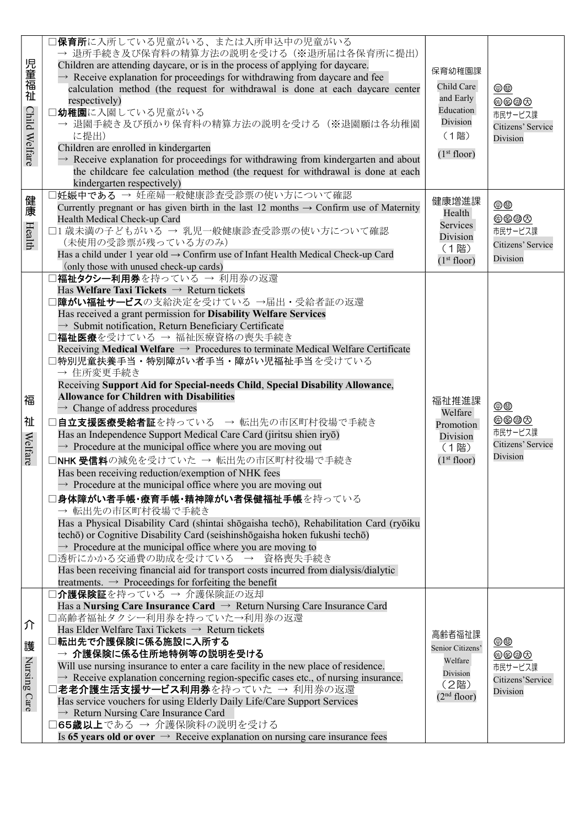| 児童福祉<br>Child Welfare  | ] <b>保育所</b> に入所している児童がいる、または入所申込中の児童がいる<br>→ 退所手続き及び保育料の精算方法の説明を受ける (※退所届は各保育所に提出)<br>Children are attending daycare, or is in the process of applying for daycare.<br>$\rightarrow$ Receive explanation for proceedings for withdrawing from daycare and fee<br>calculation method (the request for withdrawal is done at each daycare center<br>respectively)<br>コ幼稚園に入園している児童がいる<br>→ 退園手続き及び預かり保育料の精算方法の説明を受ける(※退園願は各幼稚園<br>に提出)<br>Children are enrolled in kindergarten<br>$\rightarrow$ Receive explanation for proceedings for withdrawing from kindergarten and about<br>the childcare fee calculation method (the request for withdrawal is done at each<br>kindergarten respectively)                                                                                                                                                                                                                                                                                                                                                                                                                                                                                                                                                                                                                                                                                                                                                                                                            | 保育幼稚園課<br>Child Care<br>and Early<br>Education<br>Division<br>(1階)<br>(1 <sup>st</sup> floor) | $\oplus$<br>6000<br>市民サービス課<br>Citizens' Service<br>Division |
|------------------------|--------------------------------------------------------------------------------------------------------------------------------------------------------------------------------------------------------------------------------------------------------------------------------------------------------------------------------------------------------------------------------------------------------------------------------------------------------------------------------------------------------------------------------------------------------------------------------------------------------------------------------------------------------------------------------------------------------------------------------------------------------------------------------------------------------------------------------------------------------------------------------------------------------------------------------------------------------------------------------------------------------------------------------------------------------------------------------------------------------------------------------------------------------------------------------------------------------------------------------------------------------------------------------------------------------------------------------------------------------------------------------------------------------------------------------------------------------------------------------------------------------------|-----------------------------------------------------------------------------------------------|--------------------------------------------------------------|
| 健康<br>Health           | 1妊娠中である → 妊産婦一般健康診査受診票の使い方について確認<br>Currently pregnant or has given birth in the last 12 months $\rightarrow$ Confirm use of Maternity<br>Health Medical Check-up Card<br>□1 歳未満の子どもがいる → 乳児一般健康診査受診票の使い方について確認<br>(未使用の受診票が残っている方のみ)<br>Has a child under 1 year old → Confirm use of Infant Health Medical Check-up Card<br>(only those with unused check-up cards)                                                                                                                                                                                                                                                                                                                                                                                                                                                                                                                                                                                                                                                                                                                                                                                                                                                                                                                                                                                                                                                                                                                                        | 健康増進課<br>Health<br>Services<br>Division<br>(1階)<br>(1 <sup>st</sup> floor)                    | $\oplus$<br>体多都负<br>市民サービス課<br>Citizens' Service<br>Division |
| 福<br>祉<br>Welfare      | コ福祉タクシー利用券を持っている → 利用券の返還<br>Has Welfare Taxi Tickets $\rightarrow$ Return tickets<br>障がい福祉サービスの支給決定を受けている→届出・受給者証の返還<br>Has received a grant permission for Disability Welfare Services<br>$\rightarrow$ Submit notification, Return Beneficiary Certificate<br>□福祉医療を受けている → 福祉医療資格の喪失手続き<br>Receiving Medical Welfare $\rightarrow$ Procedures to terminate Medical Welfare Certificate<br><b>]特別児童扶養手当・特別障がい者手当・障がい児福祉手当を受けている</b><br>→ 住所変更手続き<br>Receiving Support Aid for Special-needs Child, Special Disability Allowance,<br><b>Allowance for Children with Disabilities</b><br>$\rightarrow$ Change of address procedures<br>□自立支援医療受給者証を持っている → 転出先の市区町村役場で手続き<br>Has an Independence Support Medical Care Card (jiritsu shien iryō)<br>$\rightarrow$ Procedure at the municipal office where you are moving out<br>□NHK 受信料の減免を受けていた → 転出先の市区町村役場で手続き<br>Has been receiving reduction/exemption of NHK fees<br>$\rightarrow$ Procedure at the municipal office where you are moving out<br> 身体障がい者手帳・療育手帳・精神障がい者保健福祉手帳を持っている<br>→ 転出先の市区町村役場で手続き<br>Has a Physical Disability Card (shintai shōgaisha techō), Rehabilitation Card (ryōiku<br>techō) or Cognitive Disability Card (seishinshōgaisha hoken fukushi techō)<br>$\rightarrow$ Procedure at the municipal office where you are moving to<br>□透析にかかる交通費の助成を受けている → 資格喪失手続き<br>Has been receiving financial aid for transport costs incurred from dialysis/dialytic<br>treatments. $\rightarrow$ Proceedings for forfeiting the benefit | 福祉推進課<br>Welfare<br>Promotion<br>Division<br>(1階)<br>(1 <sup>st</sup> floor)                  | $\oplus$<br>6000<br>市民サービス課<br>Citizens' Service<br>Division |
| 介<br>護<br>Nursing Care | ]介護保険証を持っている → 介護保険証の返却<br>Has a Nursing Care Insurance Card $\rightarrow$ Return Nursing Care Insurance Card<br>□高齢者福祉タクシー利用券を持っていた→利用券の返還<br>Has Elder Welfare Taxi Tickets $\rightarrow$ Return tickets<br> 転出先で介護保険に係る施設に入所する<br>→ 介護保険に係る住所地特例等の説明を受ける<br>Will use nursing insurance to enter a care facility in the new place of residence.<br>$\rightarrow$ Receive explanation concerning region-specific cases etc., of nursing insurance.<br>] <b>老老介護生活支援サービス利用券</b> を持っていた → 利用券の返還<br>Has service vouchers for using Elderly Daily Life/Care Support Services<br>$\rightarrow$ Return Nursing Care Insurance Card<br>□65歳以上である → 介護保険料の説明を受ける<br>Is 65 years old or over $\rightarrow$ Receive explanation on nursing care insurance fees                                                                                                                                                                                                                                                                                                                                                                                                                                                                                                                                                                                                                                                                                                                                                       | 高齢者福祉課<br>Senior Citizens'<br>Welfare<br>Division<br>(2階)<br>(2 <sup>nd</sup> floor)          | $\oplus$<br>体多都力<br>市民サービス課<br>Citizens'Service<br>Division  |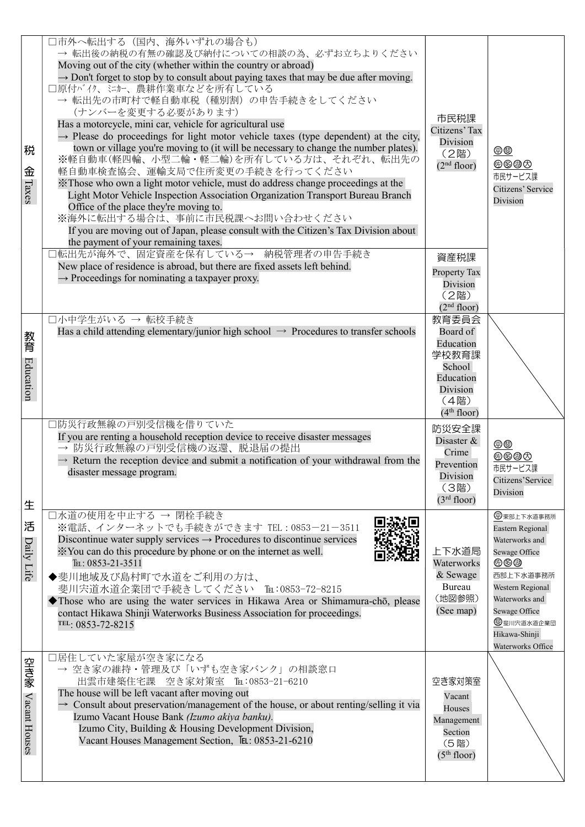| 税<br>金<br>Taxes      | □市外へ転出する (国内、海外いずれの場合も)<br>→ 転出後の納税の有無の確認及び納付についての相談の為、必ずお立ちよりください<br>Moving out of the city (whether within the country or abroad)<br>$\rightarrow$ Don't forget to stop by to consult about paying taxes that may be due after moving.<br>□原付バイク、ミカー、農耕作業車などを所有している<br>→ 転出先の市町村で軽自動車税 (種別割) の申告手続きをしてください<br>(ナンバーを変更する必要があります)<br>Has a motorcycle, mini car, vehicle for agricultural use<br>$\rightarrow$ Please do proceedings for light motor vehicle taxes (type dependent) at the city,<br>town or village you're moving to (it will be necessary to change the number plates).<br>※軽自動車(軽四輪、小型二輪・軽二輪)を所有している方は、それぞれ、転出先の<br>軽自動車検査協会、運輸支局で住所変更の手続きを行ってください<br>X Those who own a light motor vehicle, must do address change proceedings at the<br>Light Motor Vehicle Inspection Association Organization Transport Bureau Branch<br>Office of the place they're moving to.<br>※海外に転出する場合は、事前に市民税課へお問い合わせください<br>If you are moving out of Japan, please consult with the Citizen's Tax Division about<br>the payment of your remaining taxes.<br>□転出先が海外で、固定資産を保有している→ 納税管理者の申告手続き | 市民税課<br>Citizens' Tax<br>Division<br>(2階)<br>(2 <sup>nd</sup> floor)<br>資産税課                                  | $\underline{\oplus\oplus}$<br>体多都力<br>市民サービス課<br>Citizens' Service<br>Division                                                                                                                    |
|----------------------|-----------------------------------------------------------------------------------------------------------------------------------------------------------------------------------------------------------------------------------------------------------------------------------------------------------------------------------------------------------------------------------------------------------------------------------------------------------------------------------------------------------------------------------------------------------------------------------------------------------------------------------------------------------------------------------------------------------------------------------------------------------------------------------------------------------------------------------------------------------------------------------------------------------------------------------------------------------------------------------------------------------------------------------------------------------------------------------------------|---------------------------------------------------------------------------------------------------------------|---------------------------------------------------------------------------------------------------------------------------------------------------------------------------------------------------|
|                      | New place of residence is abroad, but there are fixed assets left behind.<br>$\rightarrow$ Proceedings for nominating a taxpayer proxy.                                                                                                                                                                                                                                                                                                                                                                                                                                                                                                                                                                                                                                                                                                                                                                                                                                                                                                                                                       | Property Tax<br>Division<br>(2階)<br>(2 <sup>nd</sup> floor)                                                   |                                                                                                                                                                                                   |
| 教育<br>Education      | □小中学生がいる → 転校手続き<br>Has a child attending elementary/junior high school $\rightarrow$ Procedures to transfer schools                                                                                                                                                                                                                                                                                                                                                                                                                                                                                                                                                                                                                                                                                                                                                                                                                                                                                                                                                                          | 教育委員会<br>Board of<br>Education<br>学校教育課<br>School<br>Education<br>Division<br>(4階)<br>(4 <sup>th</sup> floor) |                                                                                                                                                                                                   |
| 生                    | □防災行政無線の戸別受信機を借りていた<br>If you are renting a household reception device to receive disaster messages<br>→ 防災行政無線の戸別受信機の返還、脱退届の提出<br>$\rightarrow$ Return the reception device and submit a notification of your withdrawal from the<br>disaster message program.                                                                                                                                                                                                                                                                                                                                                                                                                                                                                                                                                                                                                                                                                                                                                                                                                               | 防災安全課<br>Disaster &<br>Crime<br>Prevention<br>Division<br>(3階)<br>(3 <sup>rd</sup> floor)                     | $\oplus$<br>体多都负<br>市民サービス課<br>Citizens'Service<br>Division                                                                                                                                       |
| 活<br>Daily Life      | コ水道の使用を中止する → 閉栓手続き<br>※電話、インターネットでも手続きができます TEL:0853-21-3511<br>Discontinue water supply services $\rightarrow$ Procedures to discontinue services<br>X You can do this procedure by phone or on the internet as well.<br>TEL: 0853-21-3511<br>◆斐川地域及び島村町で水道をご利用の方は、<br>斐川宍道水道企業団で手続きしてください Tm:0853-72-8215<br>Those who are using the water services in Hikawa Area or Shimamura-chō, please<br>contact Hikawa Shinji Waterworks Business Association for proceedings.<br>TEL: 0853-72-8215                                                                                                                                                                                                                                                                                                                                                                                                                                                                                                                                                                                                 | 上下水道局<br>Waterworks<br>& Sewage<br>Bureau<br>(地図参照)<br>(See map)                                              | 中東部上下水道事務所<br>Eastern Regional<br>Waterworks and<br>Sewage Office<br>传多曲<br>西部上下水道事務所<br>Western Regional<br>Waterworks and<br>Sewage Office<br>8 斐川宍道水道企業団<br>Hikawa-Shinji<br>Waterworks Office |
| 空き家<br>Vacant Houses | 口居住していた家屋が空き家になる<br>→ 空き家の維持·管理及び「いずも空き家バンク」の相談窓口<br>出雲市建築住宅課 空き家対策室 Tm:0853-21-6210<br>The house will be left vacant after moving out<br>$\rightarrow$ Consult about preservation/management of the house, or about renting/selling it via<br>Izumo Vacant House Bank (Izumo akiya banku).<br>Izumo City, Building & Housing Development Division,<br>Vacant Houses Management Section, TEL: 0853-21-6210                                                                                                                                                                                                                                                                                                                                                                                                                                                                                                                                                                                                                                                                                    | 空き家対策室<br>Vacant<br>Houses<br>Management<br>Section<br>(5階)<br>(5 <sup>th</sup> floor)                        |                                                                                                                                                                                                   |